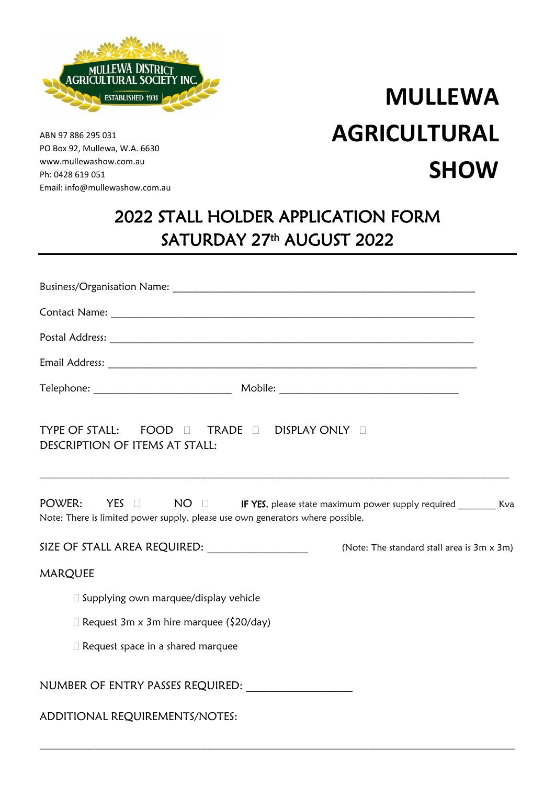

ABN 97 886 295 031 PO Box 92, Mullewa, W.A. 6630 www.mullewashow.com.au Ph: 0428 619 051 Email: info@mullewashow.com.au

## **MULLEWA AGRICULTURAL SHOW**

## 2022 STALL HOLDER APPLICATION FORM SATURDAY 27th AUGUST 2022

| TYPE OF STALL: FOOD $\Box$ TRADE $\Box$ DISPLAY ONLY $\Box$<br>DESCRIPTION OF ITEMS AT STALL:                                                                                                                                   |                                            |
|---------------------------------------------------------------------------------------------------------------------------------------------------------------------------------------------------------------------------------|--------------------------------------------|
| POWER:<br>$\sf{YES} \quad \Box \qquad \sf{NO} \quad \Box \qquad \sf{IF} \; \sf{YES},$ please state maximum power supply required ________ Kva<br>Note: There is limited power supply, please use own generators where possible. |                                            |
| SIZE OF STALL AREA REQUIRED: ________________                                                                                                                                                                                   | (Note: The standard stall area is 3m x 3m) |
| MARQUEE                                                                                                                                                                                                                         |                                            |
| □ Supplying own marquee/display vehicle                                                                                                                                                                                         |                                            |
| $\Box$ Request 3m x 3m hire marquee (\$20/day)                                                                                                                                                                                  |                                            |
| $\Box$ Request space in a shared marquee                                                                                                                                                                                        |                                            |
| NUMBER OF ENTRY PASSES REQUIRED: ____________________                                                                                                                                                                           |                                            |
| ADDITIONAL REQUIREMENTS/NOTES:                                                                                                                                                                                                  |                                            |

 $\_$  , and the set of the set of the set of the set of the set of the set of the set of the set of the set of the set of the set of the set of the set of the set of the set of the set of the set of the set of the set of th